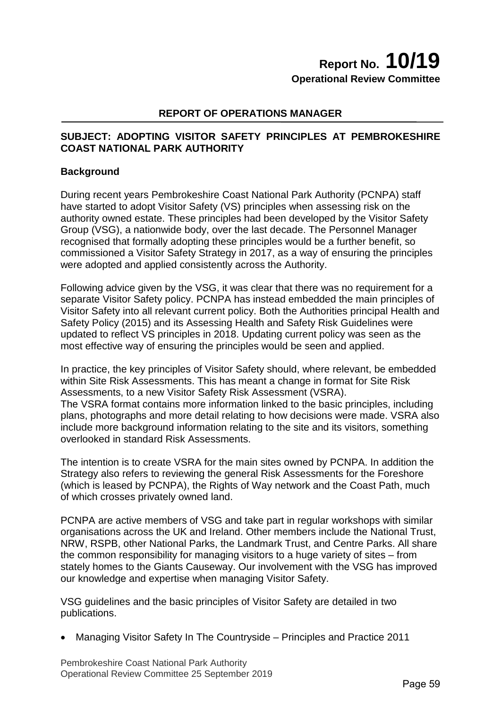# **Report No. 10/19 Operational Review Committee**

### **REPORT OF OPERATIONS MANAGER**

### **SUBJECT: ADOPTING VISITOR SAFETY PRINCIPLES AT PEMBROKESHIRE COAST NATIONAL PARK AUTHORITY**

### **Background**

During recent years Pembrokeshire Coast National Park Authority (PCNPA) staff have started to adopt Visitor Safety (VS) principles when assessing risk on the authority owned estate. These principles had been developed by the Visitor Safety Group (VSG), a nationwide body, over the last decade. The Personnel Manager recognised that formally adopting these principles would be a further benefit, so commissioned a Visitor Safety Strategy in 2017, as a way of ensuring the principles were adopted and applied consistently across the Authority.

Following advice given by the VSG, it was clear that there was no requirement for a separate Visitor Safety policy. PCNPA has instead embedded the main principles of Visitor Safety into all relevant current policy. Both the Authorities principal Health and Safety Policy (2015) and its Assessing Health and Safety Risk Guidelines were updated to reflect VS principles in 2018. Updating current policy was seen as the most effective way of ensuring the principles would be seen and applied.

In practice, the key principles of Visitor Safety should, where relevant, be embedded within Site Risk Assessments. This has meant a change in format for Site Risk Assessments, to a new Visitor Safety Risk Assessment (VSRA).

The VSRA format contains more information linked to the basic principles, including plans, photographs and more detail relating to how decisions were made. VSRA also include more background information relating to the site and its visitors, something overlooked in standard Risk Assessments.

The intention is to create VSRA for the main sites owned by PCNPA. In addition the Strategy also refers to reviewing the general Risk Assessments for the Foreshore (which is leased by PCNPA), the Rights of Way network and the Coast Path, much of which crosses privately owned land.

PCNPA are active members of VSG and take part in regular workshops with similar organisations across the UK and Ireland. Other members include the National Trust, NRW, RSPB, other National Parks, the Landmark Trust, and Centre Parks. All share the common responsibility for managing visitors to a huge variety of sites – from stately homes to the Giants Causeway. Our involvement with the VSG has improved our knowledge and expertise when managing Visitor Safety.

VSG guidelines and the basic principles of Visitor Safety are detailed in two publications.

• Managing Visitor Safety In The Countryside – Principles and Practice 2011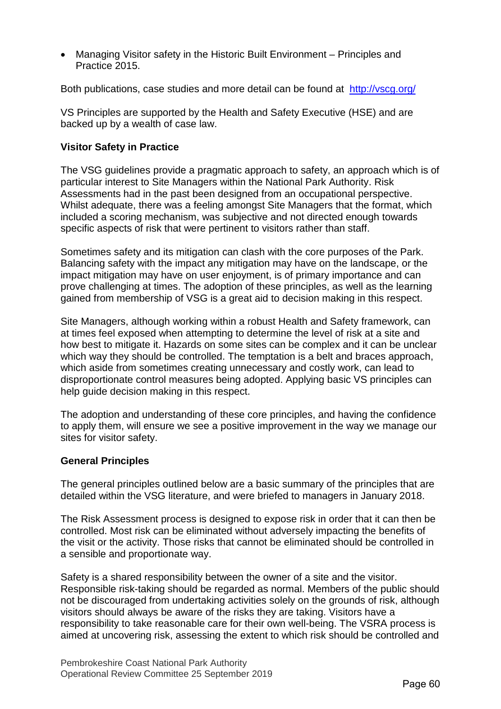• Managing Visitor safety in the Historic Built Environment – Principles and Practice 2015.

Both publications, case studies and more detail can be found at <http://vscg.org/>

VS Principles are supported by the Health and Safety Executive (HSE) and are backed up by a wealth of case law.

### **Visitor Safety in Practice**

The VSG guidelines provide a pragmatic approach to safety, an approach which is of particular interest to Site Managers within the National Park Authority. Risk Assessments had in the past been designed from an occupational perspective. Whilst adequate, there was a feeling amongst Site Managers that the format, which included a scoring mechanism, was subjective and not directed enough towards specific aspects of risk that were pertinent to visitors rather than staff.

Sometimes safety and its mitigation can clash with the core purposes of the Park. Balancing safety with the impact any mitigation may have on the landscape, or the impact mitigation may have on user enjoyment, is of primary importance and can prove challenging at times. The adoption of these principles, as well as the learning gained from membership of VSG is a great aid to decision making in this respect.

Site Managers, although working within a robust Health and Safety framework, can at times feel exposed when attempting to determine the level of risk at a site and how best to mitigate it. Hazards on some sites can be complex and it can be unclear which way they should be controlled. The temptation is a belt and braces approach, which aside from sometimes creating unnecessary and costly work, can lead to disproportionate control measures being adopted. Applying basic VS principles can help guide decision making in this respect.

The adoption and understanding of these core principles, and having the confidence to apply them, will ensure we see a positive improvement in the way we manage our sites for visitor safety.

### **General Principles**

The general principles outlined below are a basic summary of the principles that are detailed within the VSG literature, and were briefed to managers in January 2018.

The Risk Assessment process is designed to expose risk in order that it can then be controlled. Most risk can be eliminated without adversely impacting the benefits of the visit or the activity. Those risks that cannot be eliminated should be controlled in a sensible and proportionate way.

Safety is a shared responsibility between the owner of a site and the visitor. Responsible risk-taking should be regarded as normal. Members of the public should not be discouraged from undertaking activities solely on the grounds of risk, although visitors should always be aware of the risks they are taking. Visitors have a responsibility to take reasonable care for their own well-being. The VSRA process is aimed at uncovering risk, assessing the extent to which risk should be controlled and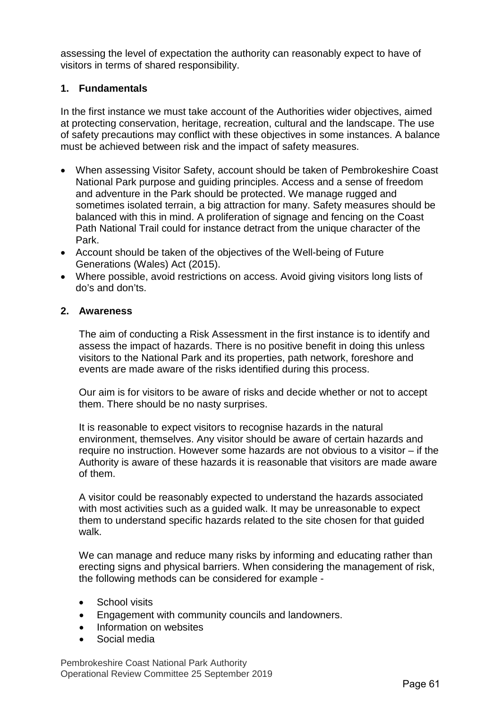assessing the level of expectation the authority can reasonably expect to have of visitors in terms of shared responsibility.

### **1. Fundamentals**

In the first instance we must take account of the Authorities wider objectives, aimed at protecting conservation, heritage, recreation, cultural and the landscape. The use of safety precautions may conflict with these objectives in some instances. A balance must be achieved between risk and the impact of safety measures.

- When assessing Visitor Safety, account should be taken of Pembrokeshire Coast National Park purpose and guiding principles. Access and a sense of freedom and adventure in the Park should be protected. We manage rugged and sometimes isolated terrain, a big attraction for many. Safety measures should be balanced with this in mind. A proliferation of signage and fencing on the Coast Path National Trail could for instance detract from the unique character of the Park.
- Account should be taken of the objectives of the Well-being of Future Generations (Wales) Act (2015).
- Where possible, avoid restrictions on access. Avoid giving visitors long lists of do's and don'ts.

### **2. Awareness**

The aim of conducting a Risk Assessment in the first instance is to identify and assess the impact of hazards. There is no positive benefit in doing this unless visitors to the National Park and its properties, path network, foreshore and events are made aware of the risks identified during this process.

Our aim is for visitors to be aware of risks and decide whether or not to accept them. There should be no nasty surprises.

It is reasonable to expect visitors to recognise hazards in the natural environment, themselves. Any visitor should be aware of certain hazards and require no instruction. However some hazards are not obvious to a visitor – if the Authority is aware of these hazards it is reasonable that visitors are made aware of them.

A visitor could be reasonably expected to understand the hazards associated with most activities such as a guided walk. It may be unreasonable to expect them to understand specific hazards related to the site chosen for that guided walk.

We can manage and reduce many risks by informing and educating rather than erecting signs and physical barriers. When considering the management of risk, the following methods can be considered for example -

- School visits
- Engagement with community councils and landowners.
- Information on websites
- Social media

Pembrokeshire Coast National Park Authority Operational Review Committee 25 September 2019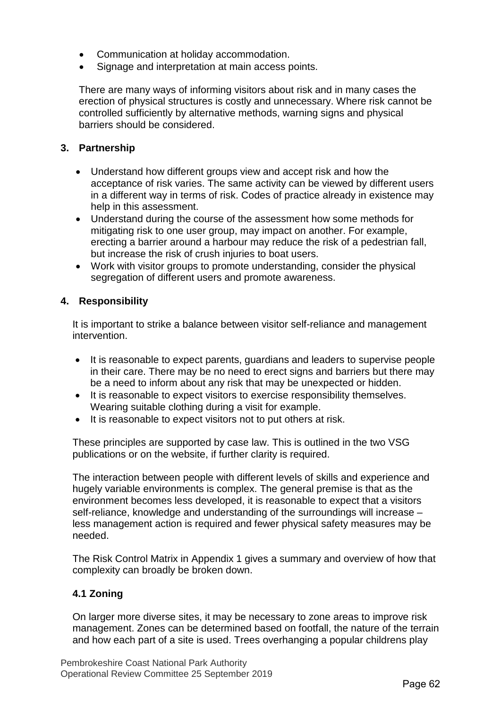- Communication at holiday accommodation.
- Signage and interpretation at main access points.

There are many ways of informing visitors about risk and in many cases the erection of physical structures is costly and unnecessary. Where risk cannot be controlled sufficiently by alternative methods, warning signs and physical barriers should be considered.

### **3. Partnership**

- Understand how different groups view and accept risk and how the acceptance of risk varies. The same activity can be viewed by different users in a different way in terms of risk. Codes of practice already in existence may help in this assessment.
- Understand during the course of the assessment how some methods for mitigating risk to one user group, may impact on another. For example, erecting a barrier around a harbour may reduce the risk of a pedestrian fall, but increase the risk of crush injuries to boat users.
- Work with visitor groups to promote understanding, consider the physical segregation of different users and promote awareness.

### **4. Responsibility**

It is important to strike a balance between visitor self-reliance and management intervention.

- It is reasonable to expect parents, guardians and leaders to supervise people in their care. There may be no need to erect signs and barriers but there may be a need to inform about any risk that may be unexpected or hidden.
- It is reasonable to expect visitors to exercise responsibility themselves. Wearing suitable clothing during a visit for example.
- It is reasonable to expect visitors not to put others at risk.

These principles are supported by case law. This is outlined in the two VSG publications or on the website, if further clarity is required.

The interaction between people with different levels of skills and experience and hugely variable environments is complex. The general premise is that as the environment becomes less developed, it is reasonable to expect that a visitors self-reliance, knowledge and understanding of the surroundings will increase – less management action is required and fewer physical safety measures may be needed.

The Risk Control Matrix in Appendix 1 gives a summary and overview of how that complexity can broadly be broken down.

### **4.1 Zoning**

On larger more diverse sites, it may be necessary to zone areas to improve risk management. Zones can be determined based on footfall, the nature of the terrain and how each part of a site is used. Trees overhanging a popular childrens play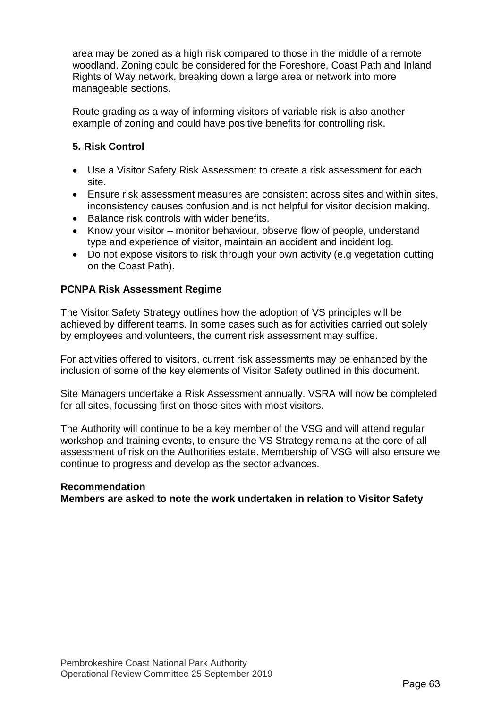area may be zoned as a high risk compared to those in the middle of a remote woodland. Zoning could be considered for the Foreshore, Coast Path and Inland Rights of Way network, breaking down a large area or network into more manageable sections.

Route grading as a way of informing visitors of variable risk is also another example of zoning and could have positive benefits for controlling risk.

### **5. Risk Control**

- Use a Visitor Safety Risk Assessment to create a risk assessment for each site.
- Ensure risk assessment measures are consistent across sites and within sites, inconsistency causes confusion and is not helpful for visitor decision making.
- Balance risk controls with wider benefits.
- Know your visitor monitor behaviour, observe flow of people, understand type and experience of visitor, maintain an accident and incident log.
- Do not expose visitors to risk through your own activity (e.g vegetation cutting on the Coast Path).

### **PCNPA Risk Assessment Regime**

The Visitor Safety Strategy outlines how the adoption of VS principles will be achieved by different teams. In some cases such as for activities carried out solely by employees and volunteers, the current risk assessment may suffice.

For activities offered to visitors, current risk assessments may be enhanced by the inclusion of some of the key elements of Visitor Safety outlined in this document.

Site Managers undertake a Risk Assessment annually. VSRA will now be completed for all sites, focussing first on those sites with most visitors.

The Authority will continue to be a key member of the VSG and will attend regular workshop and training events, to ensure the VS Strategy remains at the core of all assessment of risk on the Authorities estate. Membership of VSG will also ensure we continue to progress and develop as the sector advances.

### **Recommendation**

**Members are asked to note the work undertaken in relation to Visitor Safety**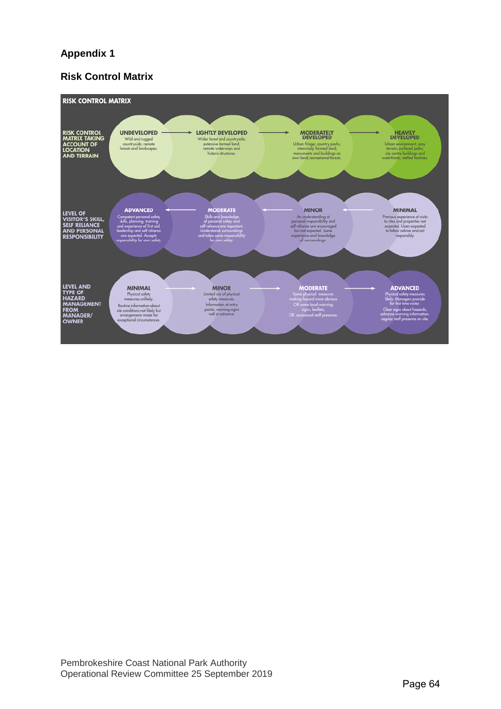### **Appendix 1**

## **Risk Control Matrix**

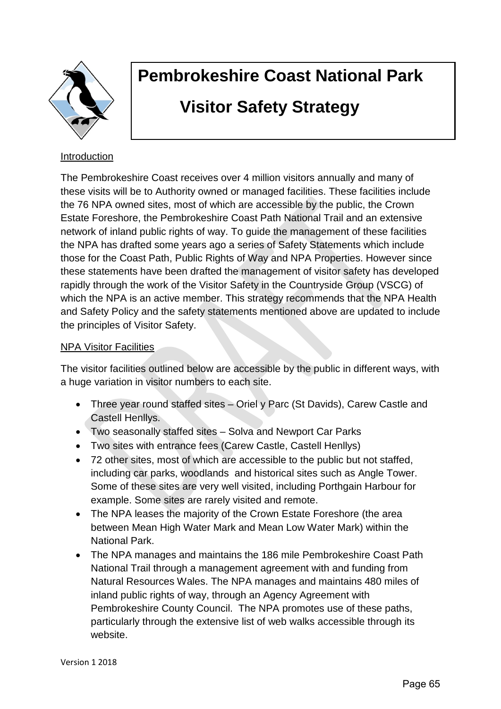

# **Pembrokeshire Coast National Park**

# **Visitor Safety Strategy**

### Introduction

The Pembrokeshire Coast receives over 4 million visitors annually and many of these visits will be to Authority owned or managed facilities. These facilities include the 76 NPA owned sites, most of which are accessible by the public, the Crown Estate Foreshore, the Pembrokeshire Coast Path National Trail and an extensive network of inland public rights of way. To guide the management of these facilities the NPA has drafted some years ago a series of Safety Statements which include those for the Coast Path, Public Rights of Way and NPA Properties. However since these statements have been drafted the management of visitor safety has developed rapidly through the work of the Visitor Safety in the Countryside Group (VSCG) of which the NPA is an active member. This strategy recommends that the NPA Health and Safety Policy and the safety statements mentioned above are updated to include the principles of Visitor Safety.

### NPA Visitor Facilities

The visitor facilities outlined below are accessible by the public in different ways, with a huge variation in visitor numbers to each site.

- Three year round staffed sites Oriel y Parc (St Davids), Carew Castle and Castell Henllys.
- Two seasonally staffed sites Solva and Newport Car Parks
- Two sites with entrance fees (Carew Castle, Castell Henllys)
- 72 other sites, most of which are accessible to the public but not staffed, including car parks, woodlands and historical sites such as Angle Tower. Some of these sites are very well visited, including Porthgain Harbour for example. Some sites are rarely visited and remote.
- The NPA leases the majority of the Crown Estate Foreshore (the area between Mean High Water Mark and Mean Low Water Mark) within the National Park.
- The NPA manages and maintains the 186 mile Pembrokeshire Coast Path National Trail through a management agreement with and funding from Natural Resources Wales. The NPA manages and maintains 480 miles of inland public rights of way, through an Agency Agreement with Pembrokeshire County Council. The NPA promotes use of these paths, particularly through the extensive list of web walks accessible through its website.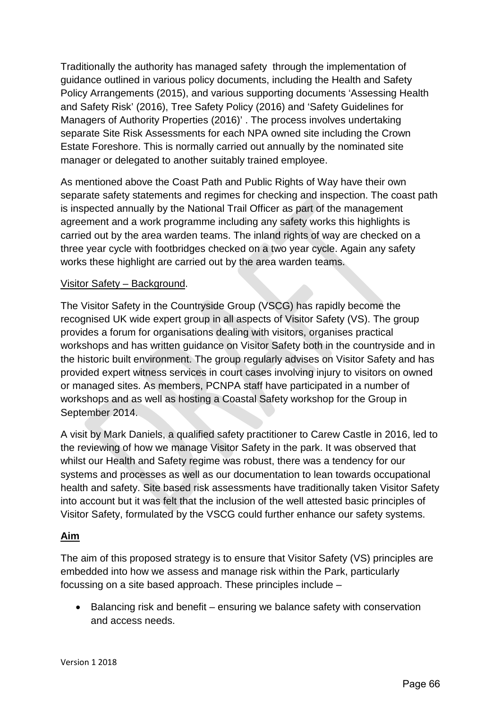Traditionally the authority has managed safety through the implementation of guidance outlined in various policy documents, including the Health and Safety Policy Arrangements (2015), and various supporting documents 'Assessing Health and Safety Risk' (2016), Tree Safety Policy (2016) and 'Safety Guidelines for Managers of Authority Properties (2016)' . The process involves undertaking separate Site Risk Assessments for each NPA owned site including the Crown Estate Foreshore. This is normally carried out annually by the nominated site manager or delegated to another suitably trained employee.

As mentioned above the Coast Path and Public Rights of Way have their own separate safety statements and regimes for checking and inspection. The coast path is inspected annually by the National Trail Officer as part of the management agreement and a work programme including any safety works this highlights is carried out by the area warden teams. The inland rights of way are checked on a three year cycle with footbridges checked on a two year cycle. Again any safety works these highlight are carried out by the area warden teams.

### Visitor Safety – Background.

The Visitor Safety in the Countryside Group (VSCG) has rapidly become the recognised UK wide expert group in all aspects of Visitor Safety (VS). The group provides a forum for organisations dealing with visitors, organises practical workshops and has written guidance on Visitor Safety both in the countryside and in the historic built environment. The group regularly advises on Visitor Safety and has provided expert witness services in court cases involving injury to visitors on owned or managed sites. As members, PCNPA staff have participated in a number of workshops and as well as hosting a Coastal Safety workshop for the Group in September 2014.

A visit by Mark Daniels, a qualified safety practitioner to Carew Castle in 2016, led to the reviewing of how we manage Visitor Safety in the park. It was observed that whilst our Health and Safety regime was robust, there was a tendency for our systems and processes as well as our documentation to lean towards occupational health and safety. Site based risk assessments have traditionally taken Visitor Safety into account but it was felt that the inclusion of the well attested basic principles of Visitor Safety, formulated by the VSCG could further enhance our safety systems.

### **Aim**

The aim of this proposed strategy is to ensure that Visitor Safety (VS) principles are embedded into how we assess and manage risk within the Park, particularly focussing on a site based approach. These principles include –

• Balancing risk and benefit – ensuring we balance safety with conservation and access needs.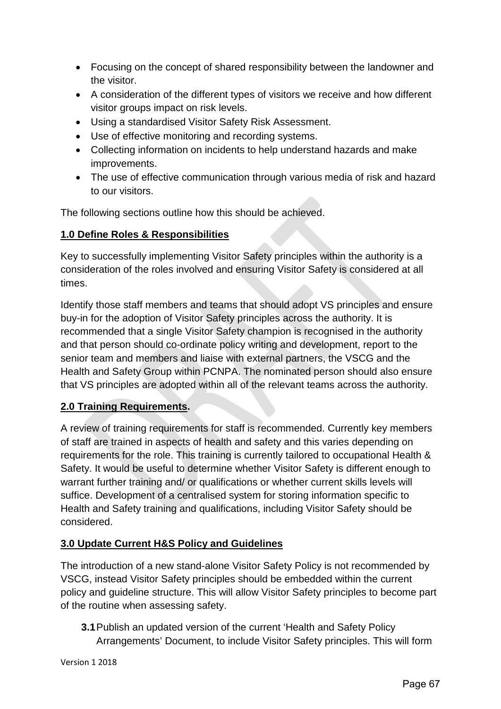- Focusing on the concept of shared responsibility between the landowner and the visitor.
- A consideration of the different types of visitors we receive and how different visitor groups impact on risk levels.
- Using a standardised Visitor Safety Risk Assessment.
- Use of effective monitoring and recording systems.
- Collecting information on incidents to help understand hazards and make improvements.
- The use of effective communication through various media of risk and hazard to our visitors.

The following sections outline how this should be achieved.

### **1.0 Define Roles & Responsibilities**

Key to successfully implementing Visitor Safety principles within the authority is a consideration of the roles involved and ensuring Visitor Safety is considered at all times.

Identify those staff members and teams that should adopt VS principles and ensure buy-in for the adoption of Visitor Safety principles across the authority. It is recommended that a single Visitor Safety champion is recognised in the authority and that person should co-ordinate policy writing and development, report to the senior team and members and liaise with external partners, the VSCG and the Health and Safety Group within PCNPA. The nominated person should also ensure that VS principles are adopted within all of the relevant teams across the authority.

### **2.0 Training Requirements.**

A review of training requirements for staff is recommended. Currently key members of staff are trained in aspects of health and safety and this varies depending on requirements for the role. This training is currently tailored to occupational Health & Safety. It would be useful to determine whether Visitor Safety is different enough to warrant further training and/ or qualifications or whether current skills levels will suffice. Development of a centralised system for storing information specific to Health and Safety training and qualifications, including Visitor Safety should be considered.

### **3.0 Update Current H&S Policy and Guidelines**

The introduction of a new stand-alone Visitor Safety Policy is not recommended by VSCG, instead Visitor Safety principles should be embedded within the current policy and guideline structure. This will allow Visitor Safety principles to become part of the routine when assessing safety.

**3.1**Publish an updated version of the current 'Health and Safety Policy Arrangements' Document, to include Visitor Safety principles. This will form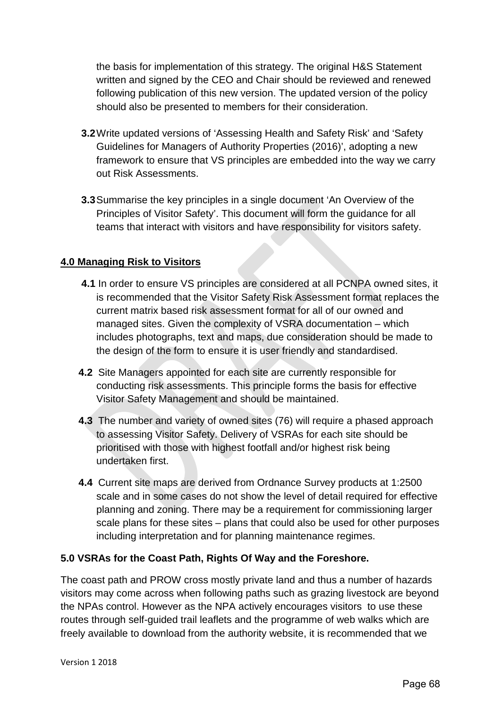the basis for implementation of this strategy. The original H&S Statement written and signed by the CEO and Chair should be reviewed and renewed following publication of this new version. The updated version of the policy should also be presented to members for their consideration.

- **3.2**Write updated versions of 'Assessing Health and Safety Risk' and 'Safety Guidelines for Managers of Authority Properties (2016)', adopting a new framework to ensure that VS principles are embedded into the way we carry out Risk Assessments.
- **3.3**Summarise the key principles in a single document 'An Overview of the Principles of Visitor Safety'. This document will form the guidance for all teams that interact with visitors and have responsibility for visitors safety.

### **4.0 Managing Risk to Visitors**

- **4.1** In order to ensure VS principles are considered at all PCNPA owned sites, it is recommended that the Visitor Safety Risk Assessment format replaces the current matrix based risk assessment format for all of our owned and managed sites. Given the complexity of VSRA documentation – which includes photographs, text and maps, due consideration should be made to the design of the form to ensure it is user friendly and standardised.
- **4.2** Site Managers appointed for each site are currently responsible for conducting risk assessments. This principle forms the basis for effective Visitor Safety Management and should be maintained.
- **4.3** The number and variety of owned sites (76) will require a phased approach to assessing Visitor Safety. Delivery of VSRAs for each site should be prioritised with those with highest footfall and/or highest risk being undertaken first.
- **4.4** Current site maps are derived from Ordnance Survey products at 1:2500 scale and in some cases do not show the level of detail required for effective planning and zoning. There may be a requirement for commissioning larger scale plans for these sites – plans that could also be used for other purposes including interpretation and for planning maintenance regimes.

### **5.0 VSRAs for the Coast Path, Rights Of Way and the Foreshore.**

The coast path and PROW cross mostly private land and thus a number of hazards visitors may come across when following paths such as grazing livestock are beyond the NPAs control. However as the NPA actively encourages visitors to use these routes through self-guided trail leaflets and the programme of web walks which are freely available to download from the authority website, it is recommended that we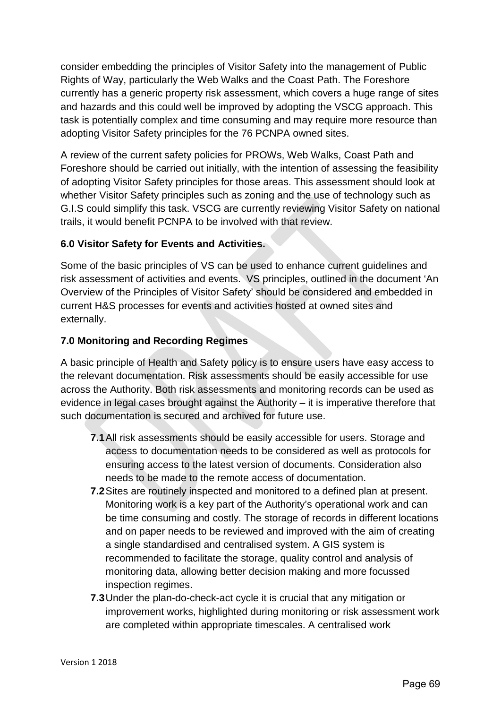consider embedding the principles of Visitor Safety into the management of Public Rights of Way, particularly the Web Walks and the Coast Path. The Foreshore currently has a generic property risk assessment, which covers a huge range of sites and hazards and this could well be improved by adopting the VSCG approach. This task is potentially complex and time consuming and may require more resource than adopting Visitor Safety principles for the 76 PCNPA owned sites.

A review of the current safety policies for PROWs, Web Walks, Coast Path and Foreshore should be carried out initially, with the intention of assessing the feasibility of adopting Visitor Safety principles for those areas. This assessment should look at whether Visitor Safety principles such as zoning and the use of technology such as G.I.S could simplify this task. VSCG are currently reviewing Visitor Safety on national trails, it would benefit PCNPA to be involved with that review.

### **6.0 Visitor Safety for Events and Activities.**

Some of the basic principles of VS can be used to enhance current guidelines and risk assessment of activities and events. VS principles, outlined in the document 'An Overview of the Principles of Visitor Safety' should be considered and embedded in current H&S processes for events and activities hosted at owned sites and externally.

### **7.0 Monitoring and Recording Regimes**

A basic principle of Health and Safety policy is to ensure users have easy access to the relevant documentation. Risk assessments should be easily accessible for use across the Authority. Both risk assessments and monitoring records can be used as evidence in legal cases brought against the Authority – it is imperative therefore that such documentation is secured and archived for future use.

- **7.1**All risk assessments should be easily accessible for users. Storage and access to documentation needs to be considered as well as protocols for ensuring access to the latest version of documents. Consideration also needs to be made to the remote access of documentation.
- **7.2**Sites are routinely inspected and monitored to a defined plan at present. Monitoring work is a key part of the Authority's operational work and can be time consuming and costly. The storage of records in different locations and on paper needs to be reviewed and improved with the aim of creating a single standardised and centralised system. A GIS system is recommended to facilitate the storage, quality control and analysis of monitoring data, allowing better decision making and more focussed inspection regimes.
- **7.3**Under the plan-do-check-act cycle it is crucial that any mitigation or improvement works, highlighted during monitoring or risk assessment work are completed within appropriate timescales. A centralised work